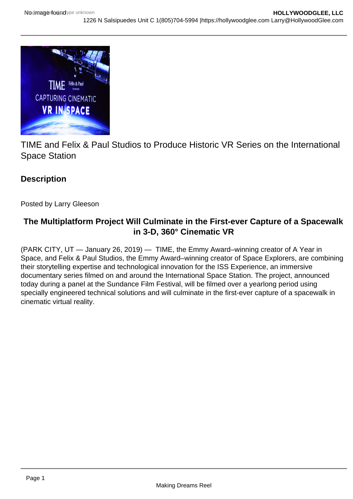

TIME and Felix & Paul Studios to Produce Historic VR Series on the International Space Station

## **Description**

Posted by Larry Gleeson

## **The Multiplatform Project Will Culminate in the First-ever Capture of a Spacewalk in 3-D, 360° Cinematic VR**

(PARK CITY, UT — January 26, 2019) — TIME, the Emmy Award–winning creator of A Year in Space, and Felix & Paul Studios, the Emmy Award–winning creator of Space Explorers, are combining their storytelling expertise and technological innovation for the ISS Experience, an immersive documentary series filmed on and around the International Space Station. The project, announced today during a panel at the Sundance Film Festival, will be filmed over a yearlong period using specially engineered technical solutions and will culminate in the first-ever capture of a spacewalk in cinematic virtual reality.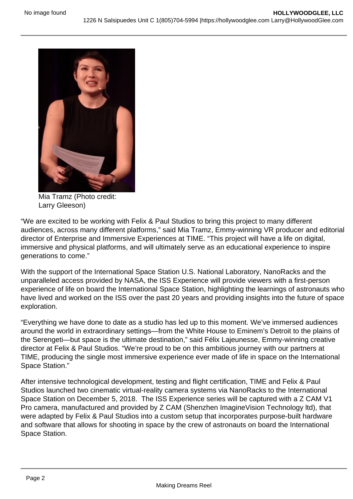

Mia Tramz (Photo credit: Larry Gleeson)

"We are excited to be working with Felix & Paul Studios to bring this project to many different audiences, across many different platforms," said Mia Tramz, Emmy-winning VR producer and editorial director of Enterprise and Immersive Experiences at TIME. "This project will have a life on digital, immersive and physical platforms, and will ultimately serve as an educational experience to inspire generations to come."

With the support of the International Space Station U.S. National Laboratory, NanoRacks and the unparalleled access provided by NASA, the ISS Experience will provide viewers with a first-person experience of life on board the International Space Station, highlighting the learnings of astronauts who have lived and worked on the ISS over the past 20 years and providing insights into the future of space exploration.

"Everything we have done to date as a studio has led up to this moment. We've immersed audiences around the world in extraordinary settings—from the White House to Eminem's Detroit to the plains of the Serengeti—but space is the ultimate destination," said Félix Lajeunesse, Emmy-winning creative director at Felix & Paul Studios. "We're proud to be on this ambitious journey with our partners at TIME, producing the single most immersive experience ever made of life in space on the International Space Station."

After intensive technological development, testing and flight certification, TIME and Felix & Paul Studios launched two cinematic virtual-reality camera systems via NanoRacks to the International Space Station on December 5, 2018. The ISS Experience series will be captured with a Z CAM V1 Pro camera, manufactured and provided by Z CAM (Shenzhen ImagineVision Technology ltd), that were adapted by Felix & Paul Studios into a custom setup that incorporates purpose-built hardware and software that allows for shooting in space by the crew of astronauts on board the International Space Station.